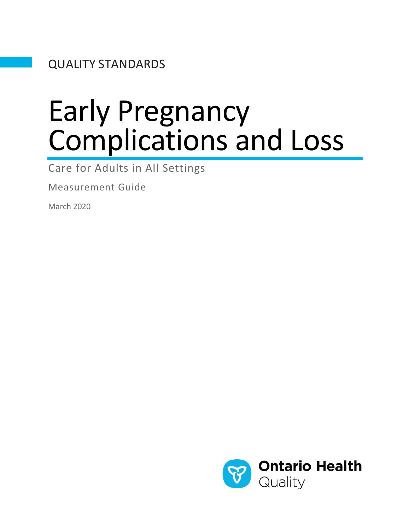QUALITY STANDARDS

# Early Pregnancy Complications and Loss

Care for Adults in All Settings

Measurement Guide

March 2020

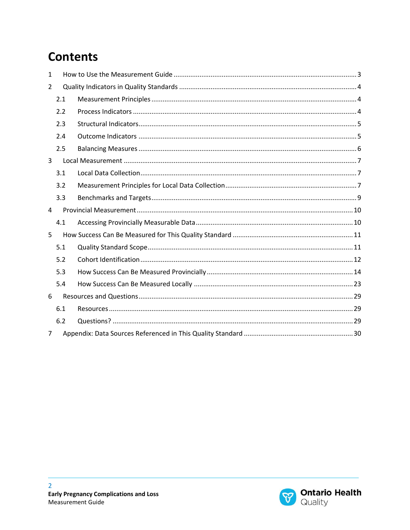### **Contents**

| $\mathbf{1}$ |     |  |  |  |
|--------------|-----|--|--|--|
| 2            |     |  |  |  |
|              | 2.1 |  |  |  |
|              | 2.2 |  |  |  |
|              | 2.3 |  |  |  |
|              | 2.4 |  |  |  |
|              | 2.5 |  |  |  |
| 3            |     |  |  |  |
|              | 3.1 |  |  |  |
|              | 3.2 |  |  |  |
|              | 3.3 |  |  |  |
|              |     |  |  |  |
| 4            |     |  |  |  |
|              | 4.1 |  |  |  |
| 5            |     |  |  |  |
|              | 5.1 |  |  |  |
|              | 5.2 |  |  |  |
|              | 5.3 |  |  |  |
|              | 5.4 |  |  |  |
| 6            |     |  |  |  |
|              | 6.1 |  |  |  |
|              | 6.2 |  |  |  |

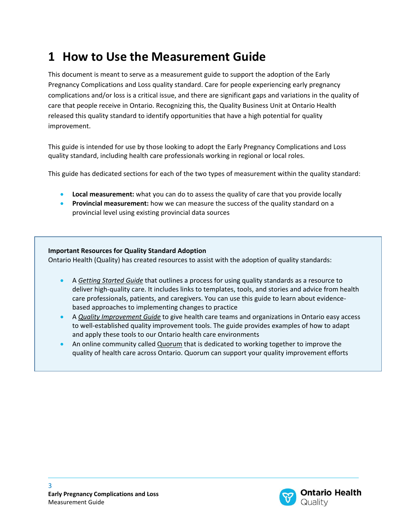### <span id="page-2-0"></span>**1 How to Use the Measurement Guide**

This document is meant to serve as a measurement guide to support the adoption of the Early Pregnancy Complications and Loss quality standard. Care for people experiencing early pregnancy complications and/or loss is a critical issue, and there are significant gaps and variations in the quality of care that people receive in Ontario. Recognizing this, the Quality Business Unit at Ontario Health released this quality standard to identify opportunities that have a high potential for quality improvement.

This guide is intended for use by those looking to adopt the Early Pregnancy Complications and Loss quality standard, including health care professionals working in regional or local roles.

This guide has dedicated sections for each of the two types of measurement within the quality standard:

- **Local measurement:** what you can do to assess the quality of care that you provide locally
- **Provincial measurement:** how we can measure the success of the quality standard on a provincial level using existing provincial data sources

#### **Important Resources for Quality Standard Adoption**

Ontario Health (Quality) has created resources to assist with the adoption of quality standards:

- A *[Getting Started Guide](http://www.hqontario.ca/Portals/0/documents/evidence/quality-standards/getting-started-guide-en.pdf)* that outlines a process for using quality standards as a resource to deliver high-quality care. It includes links to templates, tools, and stories and advice from health care professionals, patients, and caregivers. You can use this guide to learn about evidencebased approaches to implementing changes to practice
- A *[Quality Improvement Guide](http://www.hqontario.ca/portals/0/documents/qi/qi-quality-improve-guide-2012-en.pdf)* to give health care teams and organizations in Ontario easy access to well-established quality improvement tools. The guide provides examples of how to adapt and apply these tools to our Ontario health care environments
- An online community called [Quorum](http://www.hqontario.ca/Quality-Improvement/Quorum) that is dedicated to working together to improve the quality of health care across Ontario. Quorum can support your quality improvement efforts

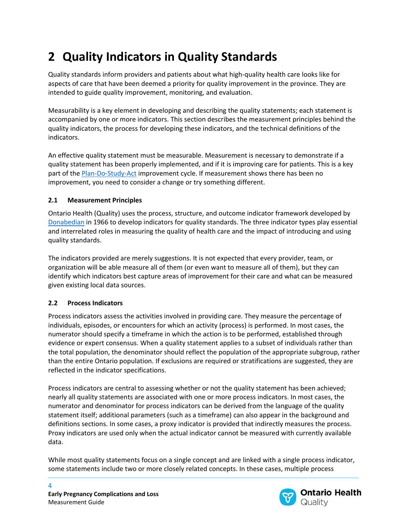# <span id="page-3-0"></span>**2 Quality Indicators in Quality Standards**

Quality standards inform providers and patients about what high-quality health care looks like for aspects of care that have been deemed a priority for quality improvement in the province. They are intended to guide quality improvement, monitoring, and evaluation.

Measurability is a key element in developing and describing the quality statements; each statement is accompanied by one or more indicators. This section describes the measurement principles behind the quality indicators, the process for developing these indicators, and the technical definitions of the indicators.

An effective quality statement must be measurable. Measurement is necessary to demonstrate if a quality statement has been properly implemented, and if it is improving care for patients. This is a key part of the [Plan-Do-Study-Act](http://www.hqontario.ca/portals/0/documents/qi/rf-document-pdsa-cycles-en.pdf) improvement cycle. If measurement shows there has been no improvement, you need to consider a change or try something different.

#### <span id="page-3-1"></span>**2.1 Measurement Principles**

Ontario Health (Quality) uses the process, structure, and outcome indicator framework developed by [Donabedian](https://www.ncbi.nlm.nih.gov/pubmed/16279964) in 1966 to develop indicators for quality standards. The three indicator types play essential and interrelated roles in measuring the quality of health care and the impact of introducing and using quality standards.

The indicators provided are merely suggestions. It is not expected that every provider, team, or organization will be able measure all of them (or even want to measure all of them), but they can identify which indicators best capture areas of improvement for their care and what can be measured given existing local data sources.

#### <span id="page-3-2"></span>**2.2 Process Indicators**

Process indicators assess the activities involved in providing care. They measure the percentage of individuals, episodes, or encounters for which an activity (process) is performed. In most cases, the numerator should specify a timeframe in which the action is to be performed, established through evidence or expert consensus. When a quality statement applies to a subset of individuals rather than the total population, the denominator should reflect the population of the appropriate subgroup, rather than the entire Ontario population. If exclusions are required or stratifications are suggested, they are reflected in the indicator specifications.

Process indicators are central to assessing whether or not the quality statement has been achieved; nearly all quality statements are associated with one or more process indicators. In most cases, the numerator and denominator for process indicators can be derived from the language of the quality statement itself; additional parameters (such as a timeframe) can also appear in the background and definitions sections. In some cases, a proxy indicator is provided that indirectly measures the process. Proxy indicators are used only when the actual indicator cannot be measured with currently available data.

While most quality statements focus on a single concept and are linked with a single process indicator, some statements include two or more closely related concepts. In these cases, multiple process



4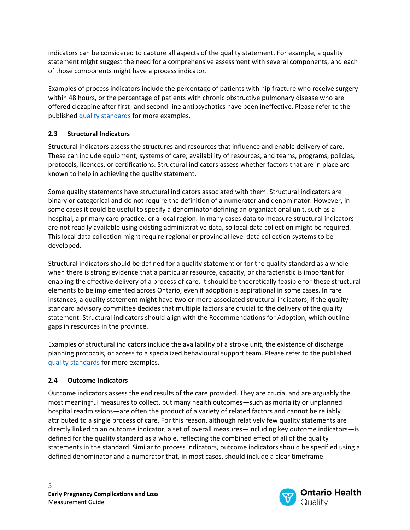indicators can be considered to capture all aspects of the quality statement. For example, a quality statement might suggest the need for a comprehensive assessment with several components, and each of those components might have a process indicator.

Examples of process indicators include the percentage of patients with hip fracture who receive surgery within 48 hours, or the percentage of patients with chronic obstructive pulmonary disease who are offered clozapine after first- and second-line antipsychotics have been ineffective. Please refer to the published [quality standards](http://www.hqontario.ca/Evidence-to-Improve-Care/Quality-Standards/View-all-Quality-Standards) for more examples.

#### <span id="page-4-0"></span>**2.3 Structural Indicators**

Structural indicators assess the structures and resources that influence and enable delivery of care. These can include equipment; systems of care; availability of resources; and teams, programs, policies, protocols, licences, or certifications. Structural indicators assess whether factors that are in place are known to help in achieving the quality statement.

Some quality statements have structural indicators associated with them. Structural indicators are binary or categorical and do not require the definition of a numerator and denominator. However, in some cases it could be useful to specify a denominator defining an organizational unit, such as a hospital, a primary care practice, or a local region. In many cases data to measure structural indicators are not readily available using existing administrative data, so local data collection might be required. This local data collection might require regional or provincial level data collection systems to be developed.

Structural indicators should be defined for a quality statement or for the quality standard as a whole when there is strong evidence that a particular resource, capacity, or characteristic is important for enabling the effective delivery of a process of care. It should be theoretically feasible for these structural elements to be implemented across Ontario, even if adoption is aspirational in some cases. In rare instances, a quality statement might have two or more associated structural indicators, if the quality standard advisory committee decides that multiple factors are crucial to the delivery of the quality statement. Structural indicators should align with the Recommendations for Adoption, which outline gaps in resources in the province.

Examples of structural indicators include the availability of a stroke unit, the existence of discharge planning protocols, or access to a specialized behavioural support team. Please refer to the published [quality standards](http://www.hqontario.ca/Evidence-to-Improve-Care/Quality-Standards/View-all-Quality-Standards) for more examples.

#### <span id="page-4-1"></span>**2.4 Outcome Indicators**

Outcome indicators assess the end results of the care provided. They are crucial and are arguably the most meaningful measures to collect, but many health outcomes—such as mortality or unplanned hospital readmissions—are often the product of a variety of related factors and cannot be reliably attributed to a single process of care. For this reason, although relatively few quality statements are directly linked to an outcome indicator, a set of overall measures—including key outcome indicators—is defined for the quality standard as a whole, reflecting the combined effect of all of the quality statements in the standard. Similar to process indicators, outcome indicators should be specified using a defined denominator and a numerator that, in most cases, should include a clear timeframe.

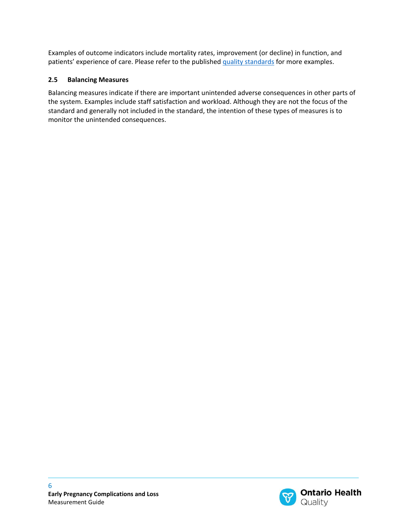Examples of outcome indicators include mortality rates, improvement (or decline) in function, and patients' experience of care. Please refer to the published [quality standards](http://www.hqontario.ca/Evidence-to-Improve-Care/Quality-Standards/View-all-Quality-Standards) for more examples.

#### <span id="page-5-0"></span>**2.5 Balancing Measures**

Balancing measures indicate if there are important unintended adverse consequences in other parts of the system. Examples include staff satisfaction and workload. Although they are not the focus of the standard and generally not included in the standard, the intention of these types of measures is to monitor the unintended consequences.

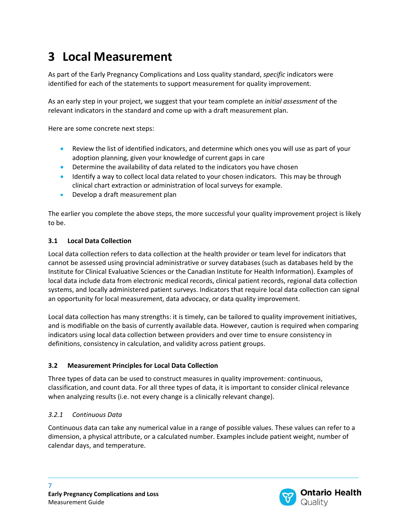### <span id="page-6-0"></span>**3 Local Measurement**

As part of the Early Pregnancy Complications and Loss quality standard, *specific* indicators were identified for each of the statements to support measurement for quality improvement.

As an early step in your project, we suggest that your team complete an *initial assessment* of the relevant indicators in the standard and come up with a draft measurement plan.

Here are some concrete next steps:

- Review the list of identified indicators, and determine which ones you will use as part of your adoption planning, given your knowledge of current gaps in care
- Determine the availability of data related to the indicators you have chosen
- Identify a way to collect local data related to your chosen indicators. This may be through clinical chart extraction or administration of local surveys for example.
- Develop a draft measurement plan

The earlier you complete the above steps, the more successful your quality improvement project is likely to be.

#### <span id="page-6-1"></span>**3.1 Local Data Collection**

Local data collection refers to data collection at the health provider or team level for indicators that cannot be assessed using provincial administrative or survey databases (such as databases held by the Institute for Clinical Evaluative Sciences or the Canadian Institute for Health Information). Examples of local data include data from electronic medical records, clinical patient records, regional data collection systems, and locally administered patient surveys. Indicators that require local data collection can signal an opportunity for local measurement, data advocacy, or data quality improvement.

Local data collection has many strengths: it is timely, can be tailored to quality improvement initiatives, and is modifiable on the basis of currently available data. However, caution is required when comparing indicators using local data collection between providers and over time to ensure consistency in definitions, consistency in calculation, and validity across patient groups.

#### <span id="page-6-2"></span>**3.2 Measurement Principles for Local Data Collection**

Three types of data can be used to construct measures in quality improvement: continuous, classification, and count data. For all three types of data, it is important to consider clinical relevance when analyzing results (i.e. not every change is a clinically relevant change).

#### *3.2.1 Continuous Data*

Continuous data can take any numerical value in a range of possible values. These values can refer to a dimension, a physical attribute, or a calculated number. Examples include patient weight, number of calendar days, and temperature.

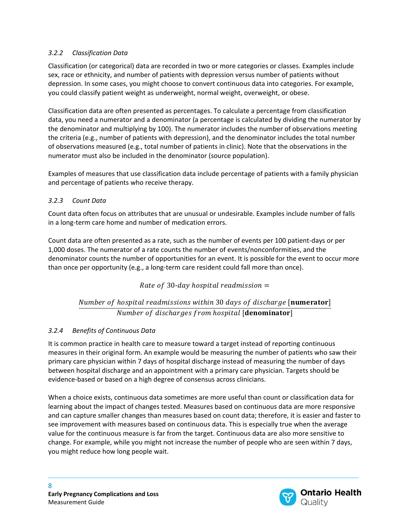#### *3.2.2 Classification Data*

Classification (or categorical) data are recorded in two or more categories or classes. Examples include sex, race or ethnicity, and number of patients with depression versus number of patients without depression. In some cases, you might choose to convert continuous data into categories. For example, you could classify patient weight as underweight, normal weight, overweight, or obese.

Classification data are often presented as percentages. To calculate a percentage from classification data, you need a numerator and a denominator (a percentage is calculated by dividing the numerator by the denominator and multiplying by 100). The numerator includes the number of observations meeting the criteria (e.g., number of patients with depression), and the denominator includes the total number of observations measured (e.g., total number of patients in clinic). Note that the observations in the numerator must also be included in the denominator (source population).

Examples of measures that use classification data include percentage of patients with a family physician and percentage of patients who receive therapy.

#### *3.2.3 Count Data*

Count data often focus on attributes that are unusual or undesirable. Examples include number of falls in a long-term care home and number of medication errors.

Count data are often presented as a rate, such as the number of events per 100 patient-days or per 1,000 doses. The numerator of a rate counts the number of events/nonconformities, and the denominator counts the number of opportunities for an event. It is possible for the event to occur more than once per opportunity (e.g., a long-term care resident could fall more than once).

Rate of 30-day hospital readmission  $=$ 

#### Number of hospital readmissions within 30 days of discharge [numerator] Number of discharges from hospital [denominator]

#### *3.2.4 Benefits of Continuous Data*

It is common practice in health care to measure toward a target instead of reporting continuous measures in their original form. An example would be measuring the number of patients who saw their primary care physician within 7 days of hospital discharge instead of measuring the number of days between hospital discharge and an appointment with a primary care physician. Targets should be evidence-based or based on a high degree of consensus across clinicians.

When a choice exists, continuous data sometimes are more useful than count or classification data for learning about the impact of changes tested. Measures based on continuous data are more responsive and can capture smaller changes than measures based on count data; therefore, it is easier and faster to see improvement with measures based on continuous data. This is especially true when the average value for the continuous measure is far from the target. Continuous data are also more sensitive to change. For example, while you might not increase the number of people who are seen within 7 days, you might reduce how long people wait.

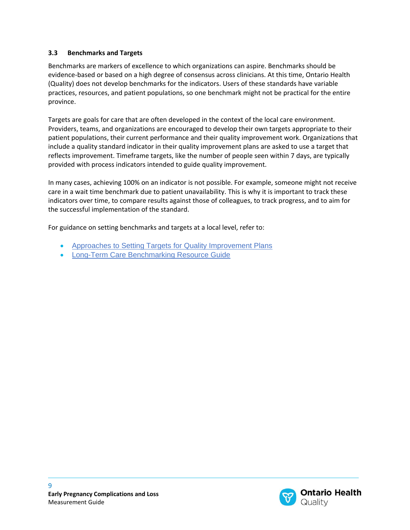#### <span id="page-8-0"></span>**3.3 Benchmarks and Targets**

Benchmarks are markers of excellence to which organizations can aspire. Benchmarks should be evidence-based or based on a high degree of consensus across clinicians. At this time, Ontario Health (Quality) does not develop benchmarks for the indicators. Users of these standards have variable practices, resources, and patient populations, so one benchmark might not be practical for the entire province.

Targets are goals for care that are often developed in the context of the local care environment. Providers, teams, and organizations are encouraged to develop their own targets appropriate to their patient populations, their current performance and their quality improvement work. Organizations that include a quality standard indicator in their quality improvement plans are asked to use a target that reflects improvement. Timeframe targets, like the number of people seen within 7 days, are typically provided with process indicators intended to guide quality improvement.

In many cases, achieving 100% on an indicator is not possible. For example, someone might not receive care in a wait time benchmark due to patient unavailability. This is why it is important to track these indicators over time, to compare results against those of colleagues, to track progress, and to aim for the successful implementation of the standard.

For guidance on setting benchmarks and targets at a local level, refer to:

- [Approaches to Setting Targets for Quality Improvement Plans](http://www.hqontario.ca/Portals/0/documents/qi/qip-appendix-a-en.pdf)
- [Long-Term Care Benchmarking Resource Guide](http://www.hqontario.ca/portals/0/documents/pr/pr-ltc-benchmarking-resource-guide-en.pdf)

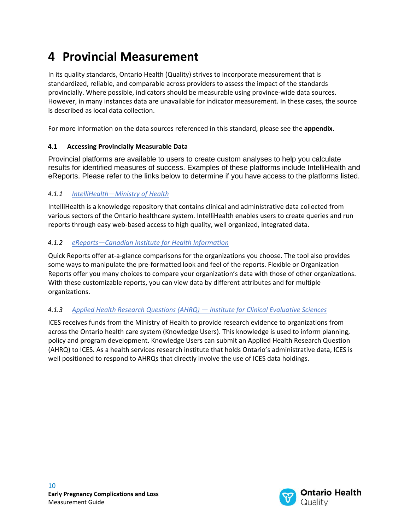### <span id="page-9-0"></span>**4 Provincial Measurement**

In its quality standards, Ontario Health (Quality) strives to incorporate measurement that is standardized, reliable, and comparable across providers to assess the impact of the standards provincially. Where possible, indicators should be measurable using province-wide data sources. However, in many instances data are unavailable for indicator measurement. In these cases, the source is described as local data collection.

For more information on the data sources referenced in this standard, please see the **appendix.**

#### <span id="page-9-1"></span>**4.1 Accessing Provincially Measurable Data**

Provincial platforms are available to users to create custom analyses to help you calculate results for identified measures of success. Examples of these platforms include IntelliHealth and eReports. Please refer to the links below to determine if you have access to the platforms listed.

#### *4.1.1 IntelliHealth—[Ministry of Health](https://intellihealth.moh.gov.on.ca/)*

IntelliHealth is a knowledge repository that contains clinical and administrative data collected from various sectors of the Ontario healthcare system. IntelliHealth enables users to create queries and run reports through easy web-based access to high quality, well organized, integrated data.

#### *4.1.2 eReports—[Canadian Institute for Health Information](https://secure.cihi.ca/cas/login)*

Quick Reports offer at-a-glance comparisons for the organizations you choose. The tool also provides some ways to manipulate the pre-formatted look and feel of the reports. Flexible or Organization Reports offer you many choices to compare your organization's data with those of other organizations. With these customizable reports, you can view data by different attributes and for multiple organizations.

#### *4.1.3 [Applied Health Research Questions \(AHRQ\)](https://www.ices.on.ca/DAS/AHRQ) — Institute for Clinical Evaluative Sciences*

ICES receives funds from the Ministry of Health to provide research evidence to organizations from across the Ontario health care system (Knowledge Users). This knowledge is used to inform planning, policy and program development. Knowledge Users can submit an Applied Health Research Question (AHRQ) to ICES. As a health services research institute that holds Ontario's administrative data, ICES is well positioned to respond to AHRQs that directly involve the use of ICES data holdings.

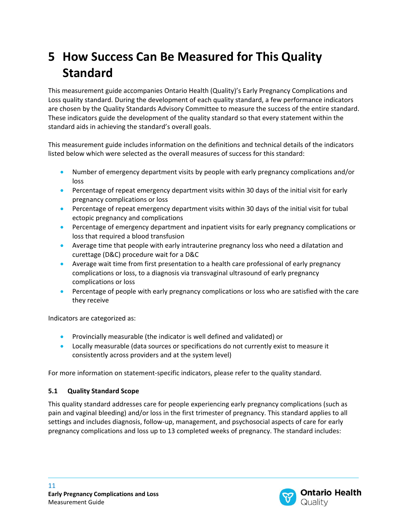# <span id="page-10-0"></span>**5 How Success Can Be Measured for This Quality Standard**

This measurement guide accompanies Ontario Health (Quality)'s Early Pregnancy Complications and Loss quality standard. During the development of each quality standard, a few performance indicators are chosen by the Quality Standards Advisory Committee to measure the success of the entire standard. These indicators guide the development of the quality standard so that every statement within the standard aids in achieving the standard's overall goals.

This measurement guide includes information on the definitions and technical details of the indicators listed below which were selected as the overall measures of success for this standard:

- Number of emergency department visits by people with early pregnancy complications and/or loss
- Percentage of repeat emergency department visits within 30 days of the initial visit for early pregnancy complications or loss
- Percentage of repeat emergency department visits within 30 days of the initial visit for tubal ectopic pregnancy and complications
- Percentage of emergency department and inpatient visits for early pregnancy complications or loss that required a blood transfusion
- Average time that people with early intrauterine pregnancy loss who need a dilatation and curettage (D&C) procedure wait for a D&C
- Average wait time from first presentation to a health care professional of early pregnancy complications or loss, to a diagnosis via transvaginal ultrasound of early pregnancy complications or loss
- Percentage of people with early pregnancy complications or loss who are satisfied with the care they receive

Indicators are categorized as:

- Provincially measurable (the indicator is well defined and validated) or
- Locally measurable (data sources or specifications do not currently exist to measure it consistently across providers and at the system level)

For more information on statement-specific indicators, please refer to the quality standard.

#### <span id="page-10-1"></span>**5.1 Quality Standard Scope**

This quality standard addresses care for people experiencing early pregnancy complications (such as pain and vaginal bleeding) and/or loss in the first trimester of pregnancy. This standard applies to all settings and includes diagnosis, follow-up, management, and psychosocial aspects of care for early pregnancy complications and loss up to 13 completed weeks of pregnancy. The standard includes:

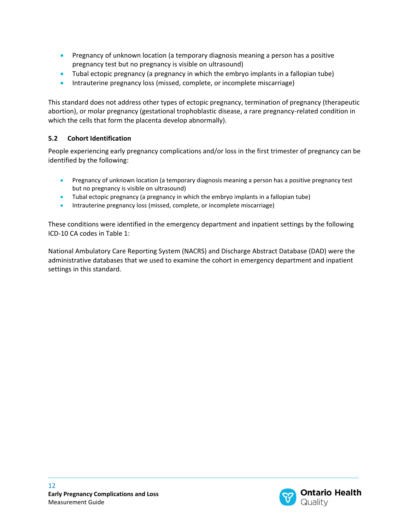- Pregnancy of unknown location (a temporary diagnosis meaning a person has a positive pregnancy test but no pregnancy is visible on ultrasound)
- Tubal ectopic pregnancy (a pregnancy in which the embryo implants in a fallopian tube)
- Intrauterine pregnancy loss (missed, complete, or incomplete miscarriage)

This standard does not address other types of ectopic pregnancy, termination of pregnancy (therapeutic abortion), or molar pregnancy (gestational trophoblastic disease, a rare pregnancy-related condition in which the cells that form the placenta develop abnormally).

#### <span id="page-11-0"></span>**5.2 Cohort Identification**

People experiencing early pregnancy complications and/or loss in the first trimester of pregnancy can be identified by the following:

- Pregnancy of unknown location (a temporary diagnosis meaning a person has a positive pregnancy test but no pregnancy is visible on ultrasound)
- Tubal ectopic pregnancy (a pregnancy in which the embryo implants in a fallopian tube)
- Intrauterine pregnancy loss (missed, complete, or incomplete miscarriage)

These conditions were identified in the emergency department and inpatient settings by the following ICD-10 CA codes in Table 1:

National Ambulatory Care Reporting System (NACRS) and Discharge Abstract Database (DAD) were the administrative databases that we used to examine the cohort in emergency department and inpatient settings in this standard.

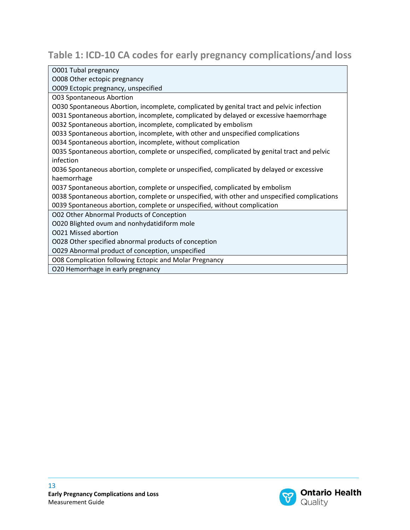### **Table 1: ICD-10 CA codes for early pregnancy complications/and loss**

| O001 Tubal pregnancy                                                                         |
|----------------------------------------------------------------------------------------------|
| O008 Other ectopic pregnancy                                                                 |
| O009 Ectopic pregnancy, unspecified                                                          |
| <b>O03 Spontaneous Abortion</b>                                                              |
| O030 Spontaneous Abortion, incomplete, complicated by genital tract and pelvic infection     |
| 0031 Spontaneous abortion, incomplete, complicated by delayed or excessive haemorrhage       |
| 0032 Spontaneous abortion, incomplete, complicated by embolism                               |
| 0033 Spontaneous abortion, incomplete, with other and unspecified complications              |
| 0034 Spontaneous abortion, incomplete, without complication                                  |
| 0035 Spontaneous abortion, complete or unspecified, complicated by genital tract and pelvic  |
| infection                                                                                    |
| 0036 Spontaneous abortion, complete or unspecified, complicated by delayed or excessive      |
| haemorrhage                                                                                  |
| 0037 Spontaneous abortion, complete or unspecified, complicated by embolism                  |
| 0038 Spontaneous abortion, complete or unspecified, with other and unspecified complications |
| 0039 Spontaneous abortion, complete or unspecified, without complication                     |
| O02 Other Abnormal Products of Conception                                                    |
| 0020 Blighted ovum and nonhydatidiform mole                                                  |
| <b>O021 Missed abortion</b>                                                                  |
| O028 Other specified abnormal products of conception                                         |
| O029 Abnormal product of conception, unspecified                                             |
| O08 Complication following Ectopic and Molar Pregnancy                                       |
| O20 Hemorrhage in early pregnancy                                                            |

O20 Hemorrhage in early pregnancy

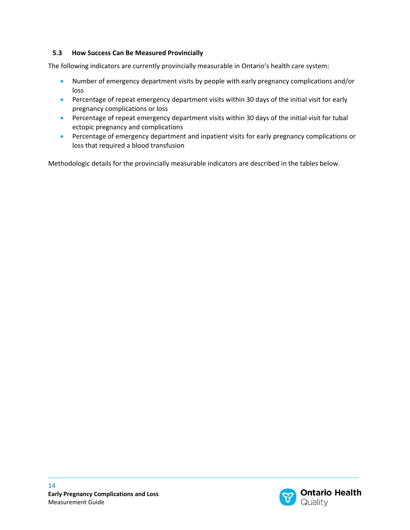#### <span id="page-13-0"></span>**5.3 How Success Can Be Measured Provincially**

The following indicators are currently provincially measurable in Ontario's health care system:

- Number of emergency department visits by people with early pregnancy complications and/or loss
- Percentage of repeat emergency department visits within 30 days of the initial visit for early pregnancy complications or loss
- Percentage of repeat emergency department visits within 30 days of the initial visit for tubal ectopic pregnancy and complications
- Percentage of emergency department and inpatient visits for early pregnancy complications or loss that required a blood transfusion

Methodologic details for the provincially measurable indicators are described in the tables below.

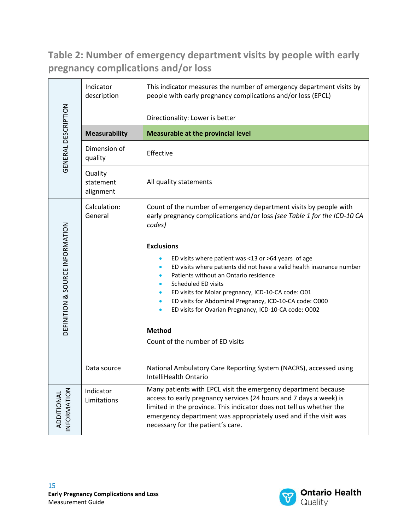**Table 2: Number of emergency department visits by people with early pregnancy complications and/or loss**

|                                 | Indicator<br>description          | This indicator measures the number of emergency department visits by<br>people with early pregnancy complications and/or loss (EPCL)                                                                                                                                                                                                                                                                                                                                                                                                                                                                                     |
|---------------------------------|-----------------------------------|--------------------------------------------------------------------------------------------------------------------------------------------------------------------------------------------------------------------------------------------------------------------------------------------------------------------------------------------------------------------------------------------------------------------------------------------------------------------------------------------------------------------------------------------------------------------------------------------------------------------------|
|                                 |                                   | Directionality: Lower is better                                                                                                                                                                                                                                                                                                                                                                                                                                                                                                                                                                                          |
|                                 | <b>Measurability</b>              | <b>Measurable at the provincial level</b>                                                                                                                                                                                                                                                                                                                                                                                                                                                                                                                                                                                |
| GENERAL DESCRIPTION             | Dimension of<br>quality           | Effective                                                                                                                                                                                                                                                                                                                                                                                                                                                                                                                                                                                                                |
|                                 | Quality<br>statement<br>alignment | All quality statements                                                                                                                                                                                                                                                                                                                                                                                                                                                                                                                                                                                                   |
| DEFINITION & SOURCE INFORMATION | Calculation:<br>General           | Count of the number of emergency department visits by people with<br>early pregnancy complications and/or loss (see Table 1 for the ICD-10 CA<br>codes)<br><b>Exclusions</b><br>ED visits where patient was <13 or >64 years of age<br>ED visits where patients did not have a valid health insurance number<br>Patients without an Ontario residence<br>Scheduled ED visits<br>ED visits for Molar pregnancy, ICD-10-CA code: O01<br>ED visits for Abdominal Pregnancy, ICD-10-CA code: O000<br>$\bullet$<br>ED visits for Ovarian Pregnancy, ICD-10-CA code: O002<br><b>Method</b><br>Count of the number of ED visits |
|                                 | Data source                       | National Ambulatory Care Reporting System (NACRS), accessed using<br>IntelliHealth Ontario                                                                                                                                                                                                                                                                                                                                                                                                                                                                                                                               |
| NFORMATION<br>ADDITIONAL        | Indicator<br>Limitations          | Many patients with EPCL visit the emergency department because<br>access to early pregnancy services (24 hours and 7 days a week) is<br>limited in the province. This indicator does not tell us whether the<br>emergency department was appropriately used and if the visit was<br>necessary for the patient's care.                                                                                                                                                                                                                                                                                                    |

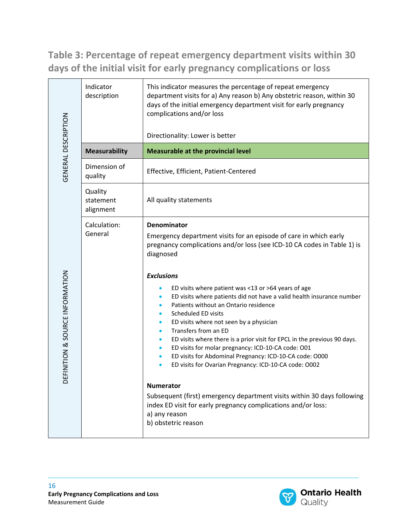**Table 3: Percentage of repeat emergency department visits within 30 days of the initial visit for early pregnancy complications or loss**

| GENERAL DESCRIPTION             | Indicator<br>description          | This indicator measures the percentage of repeat emergency<br>department visits for a) Any reason b) Any obstetric reason, within 30<br>days of the initial emergency department visit for early pregnancy<br>complications and/or loss<br>Directionality: Lower is better                                                                                                                                                                                                                                                                                                                                                                                                                                                                                                                                                                                                                                                                               |
|---------------------------------|-----------------------------------|----------------------------------------------------------------------------------------------------------------------------------------------------------------------------------------------------------------------------------------------------------------------------------------------------------------------------------------------------------------------------------------------------------------------------------------------------------------------------------------------------------------------------------------------------------------------------------------------------------------------------------------------------------------------------------------------------------------------------------------------------------------------------------------------------------------------------------------------------------------------------------------------------------------------------------------------------------|
|                                 | <b>Measurability</b>              | <b>Measurable at the provincial level</b>                                                                                                                                                                                                                                                                                                                                                                                                                                                                                                                                                                                                                                                                                                                                                                                                                                                                                                                |
|                                 | Dimension of<br>quality           | Effective, Efficient, Patient-Centered                                                                                                                                                                                                                                                                                                                                                                                                                                                                                                                                                                                                                                                                                                                                                                                                                                                                                                                   |
|                                 | Quality<br>statement<br>alignment | All quality statements                                                                                                                                                                                                                                                                                                                                                                                                                                                                                                                                                                                                                                                                                                                                                                                                                                                                                                                                   |
| DEFINITION & SOURCE INFORMATION | Calculation:<br>General           | Denominator<br>Emergency department visits for an episode of care in which early<br>pregnancy complications and/or loss (see ICD-10 CA codes in Table 1) is<br>diagnosed<br><b>Exclusions</b><br>ED visits where patient was <13 or >64 years of age<br>ED visits where patients did not have a valid health insurance number<br>Patients without an Ontario residence<br>Scheduled ED visits<br>ED visits where not seen by a physician<br>Transfers from an ED<br>ED visits where there is a prior visit for EPCL in the previous 90 days.<br>ED visits for molar pregnancy: ICD-10-CA code: O01<br>$\bullet$<br>ED visits for Abdominal Pregnancy: ICD-10-CA code: O000<br>ED visits for Ovarian Pregnancy: ICD-10-CA code: O002<br>$\bullet$<br><b>Numerator</b><br>Subsequent (first) emergency department visits within 30 days following<br>index ED visit for early pregnancy complications and/or loss:<br>a) any reason<br>b) obstetric reason |

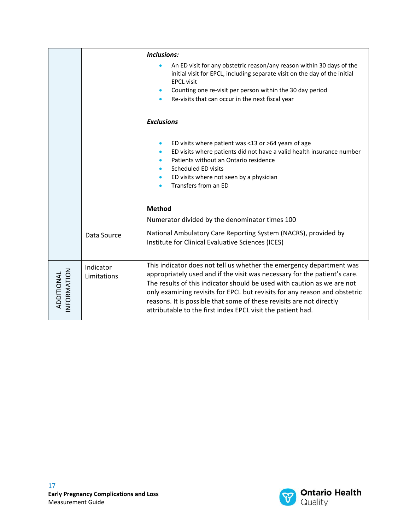|                          |                          | <b>Inclusions:</b>                                                                                                                                                                                                                                                                                                                                                                                                                                |
|--------------------------|--------------------------|---------------------------------------------------------------------------------------------------------------------------------------------------------------------------------------------------------------------------------------------------------------------------------------------------------------------------------------------------------------------------------------------------------------------------------------------------|
|                          |                          | An ED visit for any obstetric reason/any reason within 30 days of the<br>initial visit for EPCL, including separate visit on the day of the initial<br><b>EPCL visit</b><br>Counting one re-visit per person within the 30 day period<br>Re-visits that can occur in the next fiscal year                                                                                                                                                         |
|                          |                          | <b>Exclusions</b>                                                                                                                                                                                                                                                                                                                                                                                                                                 |
|                          |                          | ED visits where patient was <13 or >64 years of age<br>ED visits where patients did not have a valid health insurance number<br>Patients without an Ontario residence<br>Scheduled ED visits<br>ED visits where not seen by a physician<br>Transfers from an ED<br><b>Method</b>                                                                                                                                                                  |
|                          |                          | Numerator divided by the denominator times 100                                                                                                                                                                                                                                                                                                                                                                                                    |
|                          | Data Source              | National Ambulatory Care Reporting System (NACRS), provided by<br>Institute for Clinical Evaluative Sciences (ICES)                                                                                                                                                                                                                                                                                                                               |
| NFORMATION<br>ADDITIONAL | Indicator<br>Limitations | This indicator does not tell us whether the emergency department was<br>appropriately used and if the visit was necessary for the patient's care.<br>The results of this indicator should be used with caution as we are not<br>only examining revisits for EPCL but revisits for any reason and obstetric<br>reasons. It is possible that some of these revisits are not directly<br>attributable to the first index EPCL visit the patient had. |

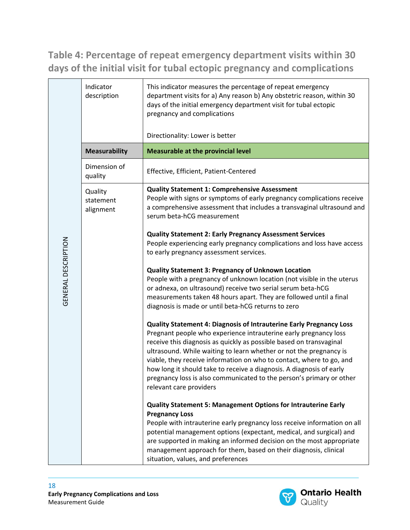**Table 4: Percentage of repeat emergency department visits within 30 days of the initial visit for tubal ectopic pregnancy and complications**

|                     | Indicator<br>description          | This indicator measures the percentage of repeat emergency<br>department visits for a) Any reason b) Any obstetric reason, within 30<br>days of the initial emergency department visit for tubal ectopic<br>pregnancy and complications<br>Directionality: Lower is better                                                                                                                                                                                                                                                                     |
|---------------------|-----------------------------------|------------------------------------------------------------------------------------------------------------------------------------------------------------------------------------------------------------------------------------------------------------------------------------------------------------------------------------------------------------------------------------------------------------------------------------------------------------------------------------------------------------------------------------------------|
|                     | <b>Measurability</b>              | <b>Measurable at the provincial level</b>                                                                                                                                                                                                                                                                                                                                                                                                                                                                                                      |
|                     | Dimension of<br>quality           | Effective, Efficient, Patient-Centered                                                                                                                                                                                                                                                                                                                                                                                                                                                                                                         |
|                     | Quality<br>statement<br>alignment | <b>Quality Statement 1: Comprehensive Assessment</b><br>People with signs or symptoms of early pregnancy complications receive<br>a comprehensive assessment that includes a transvaginal ultrasound and<br>serum beta-hCG measurement                                                                                                                                                                                                                                                                                                         |
|                     |                                   | <b>Quality Statement 2: Early Pregnancy Assessment Services</b><br>People experiencing early pregnancy complications and loss have access<br>to early pregnancy assessment services.                                                                                                                                                                                                                                                                                                                                                           |
| GENERAL DESCRIPTION |                                   | <b>Quality Statement 3: Pregnancy of Unknown Location</b><br>People with a pregnancy of unknown location (not visible in the uterus<br>or adnexa, on ultrasound) receive two serial serum beta-hCG<br>measurements taken 48 hours apart. They are followed until a final<br>diagnosis is made or until beta-hCG returns to zero                                                                                                                                                                                                                |
|                     |                                   | <b>Quality Statement 4: Diagnosis of Intrauterine Early Pregnancy Loss</b><br>Pregnant people who experience intrauterine early pregnancy loss<br>receive this diagnosis as quickly as possible based on transvaginal<br>ultrasound. While waiting to learn whether or not the pregnancy is<br>viable, they receive information on who to contact, where to go, and<br>how long it should take to receive a diagnosis. A diagnosis of early<br>pregnancy loss is also communicated to the person's primary or other<br>relevant care providers |
|                     |                                   | <b>Quality Statement 5: Management Options for Intrauterine Early</b><br><b>Pregnancy Loss</b><br>People with intrauterine early pregnancy loss receive information on all<br>potential management options (expectant, medical, and surgical) and<br>are supported in making an informed decision on the most appropriate<br>management approach for them, based on their diagnosis, clinical<br>situation, values, and preferences                                                                                                            |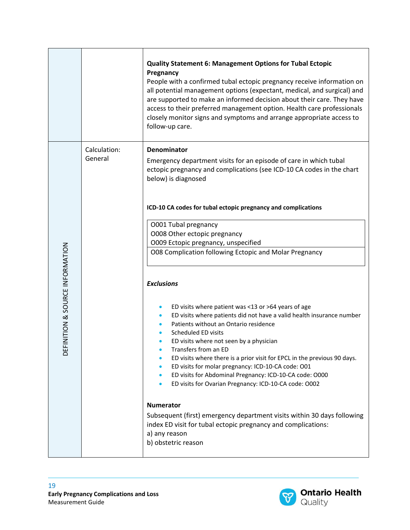|                                                      |                         | <b>Quality Statement 6: Management Options for Tubal Ectopic</b><br>Pregnancy<br>People with a confirmed tubal ectopic pregnancy receive information on<br>all potential management options (expectant, medical, and surgical) and<br>are supported to make an informed decision about their care. They have<br>access to their preferred management option. Health care professionals<br>closely monitor signs and symptoms and arrange appropriate access to<br>follow-up care.                                                                                                                                                                                                                                                                                                                                                                                                                                                                                                                                                                                                                                                                                          |
|------------------------------------------------------|-------------------------|----------------------------------------------------------------------------------------------------------------------------------------------------------------------------------------------------------------------------------------------------------------------------------------------------------------------------------------------------------------------------------------------------------------------------------------------------------------------------------------------------------------------------------------------------------------------------------------------------------------------------------------------------------------------------------------------------------------------------------------------------------------------------------------------------------------------------------------------------------------------------------------------------------------------------------------------------------------------------------------------------------------------------------------------------------------------------------------------------------------------------------------------------------------------------|
| FINITION & SOURCE INFORMATION<br>$\overline{\Omega}$ | Calculation:<br>General | <b>Denominator</b><br>Emergency department visits for an episode of care in which tubal<br>ectopic pregnancy and complications (see ICD-10 CA codes in the chart<br>below) is diagnosed<br>ICD-10 CA codes for tubal ectopic pregnancy and complications<br>O001 Tubal pregnancy<br>O008 Other ectopic pregnancy<br>O009 Ectopic pregnancy, unspecified<br>O08 Complication following Ectopic and Molar Pregnancy<br><b>Exclusions</b><br>ED visits where patient was <13 or >64 years of age<br>ED visits where patients did not have a valid health insurance number<br>Patients without an Ontario residence<br>Scheduled ED visits<br>ED visits where not seen by a physician<br>Transfers from an ED<br>ED visits where there is a prior visit for EPCL in the previous 90 days.<br>ED visits for molar pregnancy: ICD-10-CA code: O01<br>ED visits for Abdominal Pregnancy: ICD-10-CA code: O000<br>$\bullet$<br>ED visits for Ovarian Pregnancy: ICD-10-CA code: O002<br>$\bullet$<br><b>Numerator</b><br>Subsequent (first) emergency department visits within 30 days following<br>index ED visit for tubal ectopic pregnancy and complications:<br>a) any reason |
|                                                      |                         | b) obstetric reason                                                                                                                                                                                                                                                                                                                                                                                                                                                                                                                                                                                                                                                                                                                                                                                                                                                                                                                                                                                                                                                                                                                                                        |

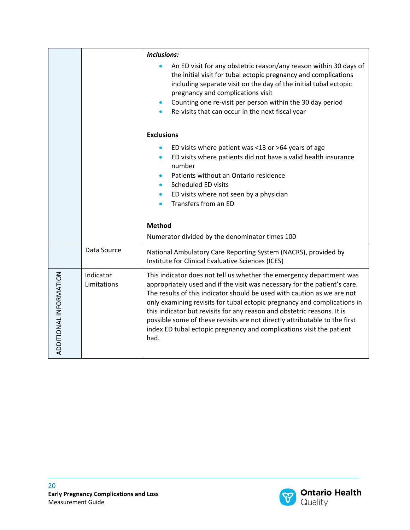|                        |                          | <b>Inclusions:</b>                                                                                                                                                                                                                                                                                                                                                                                                                                                                                                                                |  |
|------------------------|--------------------------|---------------------------------------------------------------------------------------------------------------------------------------------------------------------------------------------------------------------------------------------------------------------------------------------------------------------------------------------------------------------------------------------------------------------------------------------------------------------------------------------------------------------------------------------------|--|
|                        |                          | An ED visit for any obstetric reason/any reason within 30 days of<br>the initial visit for tubal ectopic pregnancy and complications<br>including separate visit on the day of the initial tubal ectopic<br>pregnancy and complications visit<br>Counting one re-visit per person within the 30 day period<br>Re-visits that can occur in the next fiscal year                                                                                                                                                                                    |  |
|                        |                          | <b>Exclusions</b>                                                                                                                                                                                                                                                                                                                                                                                                                                                                                                                                 |  |
|                        |                          | ED visits where patient was <13 or >64 years of age<br>ED visits where patients did not have a valid health insurance<br>$\bullet$<br>number<br>Patients without an Ontario residence                                                                                                                                                                                                                                                                                                                                                             |  |
|                        |                          | <b>Scheduled ED visits</b>                                                                                                                                                                                                                                                                                                                                                                                                                                                                                                                        |  |
|                        |                          | ED visits where not seen by a physician<br>Transfers from an ED<br>$\bullet$                                                                                                                                                                                                                                                                                                                                                                                                                                                                      |  |
|                        |                          |                                                                                                                                                                                                                                                                                                                                                                                                                                                                                                                                                   |  |
|                        |                          | <b>Method</b>                                                                                                                                                                                                                                                                                                                                                                                                                                                                                                                                     |  |
|                        |                          | Numerator divided by the denominator times 100                                                                                                                                                                                                                                                                                                                                                                                                                                                                                                    |  |
|                        | Data Source              | National Ambulatory Care Reporting System (NACRS), provided by<br>Institute for Clinical Evaluative Sciences (ICES)                                                                                                                                                                                                                                                                                                                                                                                                                               |  |
| ADDITIONAL INFORMATION | Indicator<br>Limitations | This indicator does not tell us whether the emergency department was<br>appropriately used and if the visit was necessary for the patient's care.<br>The results of this indicator should be used with caution as we are not<br>only examining revisits for tubal ectopic pregnancy and complications in<br>this indicator but revisits for any reason and obstetric reasons. It is<br>possible some of these revisits are not directly attributable to the first<br>index ED tubal ectopic pregnancy and complications visit the patient<br>had. |  |

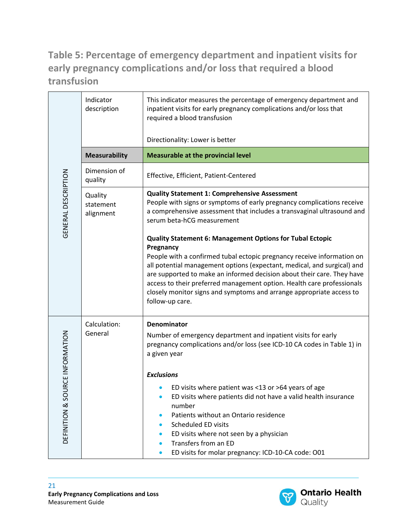### **Table 5: Percentage of emergency department and inpatient visits for early pregnancy complications and/or loss that required a blood transfusion**

|                                        | Indicator<br>description          | This indicator measures the percentage of emergency department and<br>inpatient visits for early pregnancy complications and/or loss that<br>required a blood transfusion                                                                                                                                                                                                                                                                                                                                                                           |
|----------------------------------------|-----------------------------------|-----------------------------------------------------------------------------------------------------------------------------------------------------------------------------------------------------------------------------------------------------------------------------------------------------------------------------------------------------------------------------------------------------------------------------------------------------------------------------------------------------------------------------------------------------|
|                                        |                                   | Directionality: Lower is better                                                                                                                                                                                                                                                                                                                                                                                                                                                                                                                     |
|                                        | <b>Measurability</b>              | <b>Measurable at the provincial level</b>                                                                                                                                                                                                                                                                                                                                                                                                                                                                                                           |
|                                        | Dimension of<br>quality           | Effective, Efficient, Patient-Centered                                                                                                                                                                                                                                                                                                                                                                                                                                                                                                              |
| GENERAL DESCRIPTION                    | Quality<br>statement<br>alignment | <b>Quality Statement 1: Comprehensive Assessment</b><br>People with signs or symptoms of early pregnancy complications receive<br>a comprehensive assessment that includes a transvaginal ultrasound and<br>serum beta-hCG measurement                                                                                                                                                                                                                                                                                                              |
|                                        |                                   | <b>Quality Statement 6: Management Options for Tubal Ectopic</b><br>Pregnancy<br>People with a confirmed tubal ectopic pregnancy receive information on<br>all potential management options (expectant, medical, and surgical) and<br>are supported to make an informed decision about their care. They have<br>access to their preferred management option. Health care professionals<br>closely monitor signs and symptoms and arrange appropriate access to<br>follow-up care.                                                                   |
| URCE INFORMATION<br>SO<br>DEFINITION & | Calculation:<br>General           | <b>Denominator</b><br>Number of emergency department and inpatient visits for early<br>pregnancy complications and/or loss (see ICD-10 CA codes in Table 1) in<br>a given year<br><b>Exclusions</b><br>ED visits where patient was <13 or >64 years of age<br>ED visits where patients did not have a valid health insurance<br>number<br>Patients without an Ontario residence<br><b>Scheduled ED visits</b><br>ED visits where not seen by a physician<br>$\bullet$<br>Transfers from an ED<br>ED visits for molar pregnancy: ICD-10-CA code: O01 |

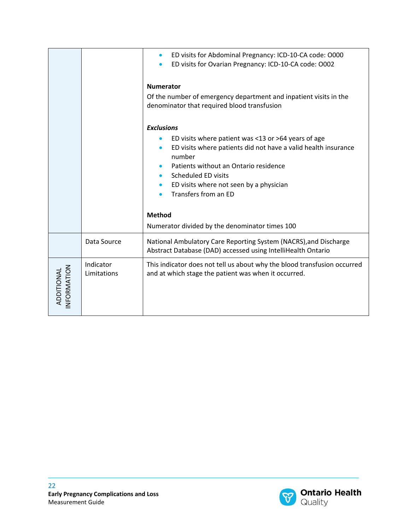|                          |                          | ED visits for Abdominal Pregnancy: ICD-10-CA code: O000<br>$\bullet$<br>ED visits for Ovarian Pregnancy: ICD-10-CA code: O002<br>$\bullet$                                                                                                                         |  |
|--------------------------|--------------------------|--------------------------------------------------------------------------------------------------------------------------------------------------------------------------------------------------------------------------------------------------------------------|--|
|                          |                          | <b>Numerator</b><br>Of the number of emergency department and inpatient visits in the<br>denominator that required blood transfusion                                                                                                                               |  |
|                          |                          | <b>Exclusions</b>                                                                                                                                                                                                                                                  |  |
|                          |                          | ED visits where patient was <13 or >64 years of age<br>ED visits where patients did not have a valid health insurance<br>number<br>Patients without an Ontario residence<br>Scheduled ED visits<br>ED visits where not seen by a physician<br>Transfers from an ED |  |
|                          |                          | <b>Method</b>                                                                                                                                                                                                                                                      |  |
|                          |                          | Numerator divided by the denominator times 100                                                                                                                                                                                                                     |  |
|                          | Data Source              | National Ambulatory Care Reporting System (NACRS), and Discharge<br>Abstract Database (DAD) accessed using IntelliHealth Ontario                                                                                                                                   |  |
| NFORMATION<br>ADDITIONAL | Indicator<br>Limitations | This indicator does not tell us about why the blood transfusion occurred<br>and at which stage the patient was when it occurred.                                                                                                                                   |  |

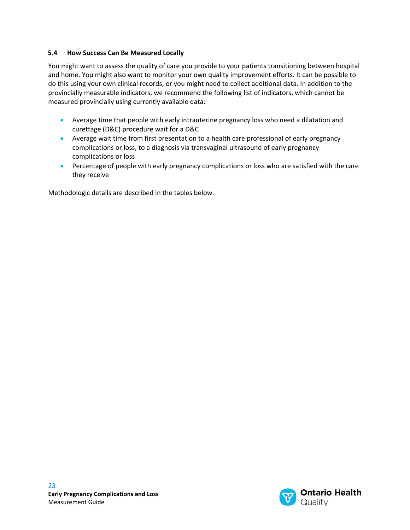#### <span id="page-22-0"></span>**5.4 How Success Can Be Measured Locally**

You might want to assess the quality of care you provide to your patients transitioning between hospital and home. You might also want to monitor your own quality improvement efforts. It can be possible to do this using your own clinical records, or you might need to collect additional data. In addition to the provincially measurable indicators, we recommend the following list of indicators, which cannot be measured provincially using currently available data:

- Average time that people with early intrauterine pregnancy loss who need a dilatation and curettage (D&C) procedure wait for a D&C
- Average wait time from first presentation to a health care professional of early pregnancy complications or loss, to a diagnosis via transvaginal ultrasound of early pregnancy complications or loss
- Percentage of people with early pregnancy complications or loss who are satisfied with the care they receive

Methodologic details are described in the tables below.

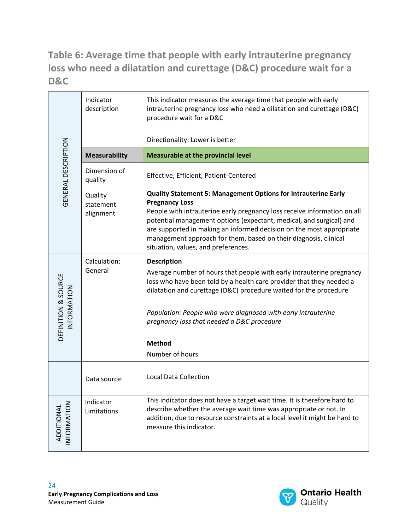**Table 6: Average time that people with early intrauterine pregnancy loss who need a dilatation and curettage (D&C) procedure wait for a D&C**

|                                    | Indicator<br>description          | This indicator measures the average time that people with early<br>intrauterine pregnancy loss who need a dilatation and curettage (D&C)<br>procedure wait for a D&C                                                                                                                                                                                                                                                                 |
|------------------------------------|-----------------------------------|--------------------------------------------------------------------------------------------------------------------------------------------------------------------------------------------------------------------------------------------------------------------------------------------------------------------------------------------------------------------------------------------------------------------------------------|
|                                    |                                   | Directionality: Lower is better                                                                                                                                                                                                                                                                                                                                                                                                      |
|                                    | <b>Measurability</b>              | <b>Measurable at the provincial level</b>                                                                                                                                                                                                                                                                                                                                                                                            |
| GENERAL DESCRIPTION                | Dimension of<br>quality           | Effective, Efficient, Patient-Centered                                                                                                                                                                                                                                                                                                                                                                                               |
|                                    | Quality<br>statement<br>alignment | <b>Quality Statement 5: Management Options for Intrauterine Early</b><br><b>Pregnancy Loss</b><br>People with intrauterine early pregnancy loss receive information on all<br>potential management options (expectant, medical, and surgical) and<br>are supported in making an informed decision on the most appropriate<br>management approach for them, based on their diagnosis, clinical<br>situation, values, and preferences. |
| DEFINITION & SOURCE<br>INFORMATION | Calculation:<br>General           | <b>Description</b><br>Average number of hours that people with early intrauterine pregnancy<br>loss who have been told by a health care provider that they needed a<br>dilatation and curettage (D&C) procedure waited for the procedure<br>Population: People who were diagnosed with early intrauterine<br>pregnancy loss that needed a D&C procedure<br><b>Method</b><br>Number of hours                                          |
|                                    | Data source:                      | <b>Local Data Collection</b>                                                                                                                                                                                                                                                                                                                                                                                                         |
| ADDITIONAL<br>INFORMATION          | Indicator<br>Limitations          | This indicator does not have a target wait time. It is therefore hard to<br>describe whether the average wait time was appropriate or not. In<br>addition, due to resource constraints at a local level it might be hard to<br>measure this indicator.                                                                                                                                                                               |

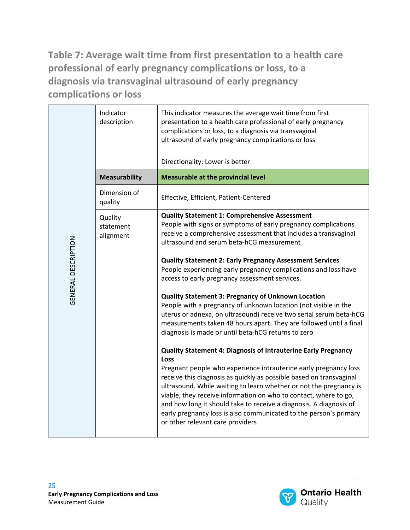**Table 7: Average wait time from first presentation to a health care professional of early pregnancy complications or loss, to a diagnosis via transvaginal ultrasound of early pregnancy complications or loss**

|                     | Indicator<br>description          | This indicator measures the average wait time from first<br>presentation to a health care professional of early pregnancy<br>complications or loss, to a diagnosis via transvaginal<br>ultrasound of early pregnancy complications or loss<br>Directionality: Lower is better                                                                                                                                                                                                                                                                                                                                                                                                                                                                                                                                                                                                                                                                                                                                                                                                                                                                                                                                                                                                                                                 |
|---------------------|-----------------------------------|-------------------------------------------------------------------------------------------------------------------------------------------------------------------------------------------------------------------------------------------------------------------------------------------------------------------------------------------------------------------------------------------------------------------------------------------------------------------------------------------------------------------------------------------------------------------------------------------------------------------------------------------------------------------------------------------------------------------------------------------------------------------------------------------------------------------------------------------------------------------------------------------------------------------------------------------------------------------------------------------------------------------------------------------------------------------------------------------------------------------------------------------------------------------------------------------------------------------------------------------------------------------------------------------------------------------------------|
|                     | <b>Measurability</b>              | <b>Measurable at the provincial level</b>                                                                                                                                                                                                                                                                                                                                                                                                                                                                                                                                                                                                                                                                                                                                                                                                                                                                                                                                                                                                                                                                                                                                                                                                                                                                                     |
|                     | Dimension of<br>quality           | Effective, Efficient, Patient-Centered                                                                                                                                                                                                                                                                                                                                                                                                                                                                                                                                                                                                                                                                                                                                                                                                                                                                                                                                                                                                                                                                                                                                                                                                                                                                                        |
| GENERAL DESCRIPTION | Quality<br>statement<br>alignment | <b>Quality Statement 1: Comprehensive Assessment</b><br>People with signs or symptoms of early pregnancy complications<br>receive a comprehensive assessment that includes a transvaginal<br>ultrasound and serum beta-hCG measurement<br><b>Quality Statement 2: Early Pregnancy Assessment Services</b><br>People experiencing early pregnancy complications and loss have<br>access to early pregnancy assessment services.<br><b>Quality Statement 3: Pregnancy of Unknown Location</b><br>People with a pregnancy of unknown location (not visible in the<br>uterus or adnexa, on ultrasound) receive two serial serum beta-hCG<br>measurements taken 48 hours apart. They are followed until a final<br>diagnosis is made or until beta-hCG returns to zero<br><b>Quality Statement 4: Diagnosis of Intrauterine Early Pregnancy</b><br><b>Loss</b><br>Pregnant people who experience intrauterine early pregnancy loss<br>receive this diagnosis as quickly as possible based on transvaginal<br>ultrasound. While waiting to learn whether or not the pregnancy is<br>viable, they receive information on who to contact, where to go,<br>and how long it should take to receive a diagnosis. A diagnosis of<br>early pregnancy loss is also communicated to the person's primary<br>or other relevant care providers |



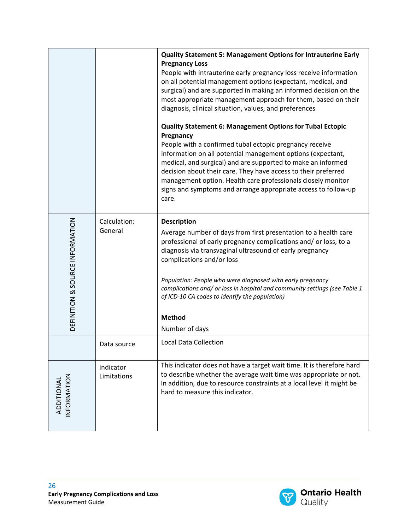|                                 |                                                                                                                                                                                                                                                                                                                                                                                                                                                                                                                | <b>Quality Statement 5: Management Options for Intrauterine Early</b><br><b>Pregnancy Loss</b><br>People with intrauterine early pregnancy loss receive information<br>on all potential management options (expectant, medical, and<br>surgical) and are supported in making an informed decision on the<br>most appropriate management approach for them, based on their<br>diagnosis, clinical situation, values, and preferences<br><b>Quality Statement 6: Management Options for Tubal Ectopic</b><br>Pregnancy<br>People with a confirmed tubal ectopic pregnancy receive<br>information on all potential management options (expectant,<br>medical, and surgical) and are supported to make an informed<br>decision about their care. They have access to their preferred<br>management option. Health care professionals closely monitor<br>signs and symptoms and arrange appropriate access to follow-up<br>care. |  |
|---------------------------------|----------------------------------------------------------------------------------------------------------------------------------------------------------------------------------------------------------------------------------------------------------------------------------------------------------------------------------------------------------------------------------------------------------------------------------------------------------------------------------------------------------------|-----------------------------------------------------------------------------------------------------------------------------------------------------------------------------------------------------------------------------------------------------------------------------------------------------------------------------------------------------------------------------------------------------------------------------------------------------------------------------------------------------------------------------------------------------------------------------------------------------------------------------------------------------------------------------------------------------------------------------------------------------------------------------------------------------------------------------------------------------------------------------------------------------------------------------|--|
| DEFINITION & SOURCE INFORMATION | Calculation:<br><b>Description</b><br>General<br>Average number of days from first presentation to a health care<br>professional of early pregnancy complications and/ or loss, to a<br>diagnosis via transvaginal ultrasound of early pregnancy<br>complications and/or loss<br>Population: People who were diagnosed with early pregnancy<br>complications and/ or loss in hospital and community settings (see Table 1<br>of ICD-10 CA codes to identify the population)<br><b>Method</b><br>Number of days |                                                                                                                                                                                                                                                                                                                                                                                                                                                                                                                                                                                                                                                                                                                                                                                                                                                                                                                             |  |
|                                 | Data source                                                                                                                                                                                                                                                                                                                                                                                                                                                                                                    | <b>Local Data Collection</b>                                                                                                                                                                                                                                                                                                                                                                                                                                                                                                                                                                                                                                                                                                                                                                                                                                                                                                |  |
| NFORMATION<br>ADDITIONAL        | Indicator<br>Limitations                                                                                                                                                                                                                                                                                                                                                                                                                                                                                       | This indicator does not have a target wait time. It is therefore hard<br>to describe whether the average wait time was appropriate or not.<br>In addition, due to resource constraints at a local level it might be<br>hard to measure this indicator.                                                                                                                                                                                                                                                                                                                                                                                                                                                                                                                                                                                                                                                                      |  |

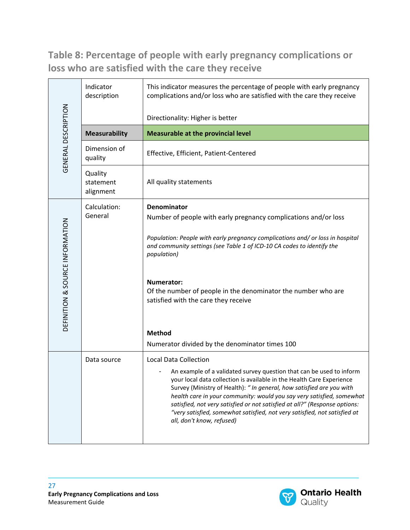### **Table 8: Percentage of people with early pregnancy complications or loss who are satisfied with the care they receive**

|                                 | Indicator<br>description          | This indicator measures the percentage of people with early pregnancy<br>complications and/or loss who are satisfied with the care they receive                                                                                                                                                                                                                                                                                                                                        |  |  |
|---------------------------------|-----------------------------------|----------------------------------------------------------------------------------------------------------------------------------------------------------------------------------------------------------------------------------------------------------------------------------------------------------------------------------------------------------------------------------------------------------------------------------------------------------------------------------------|--|--|
| GENERAL DESCRIPTION             |                                   | Directionality: Higher is better                                                                                                                                                                                                                                                                                                                                                                                                                                                       |  |  |
|                                 | <b>Measurability</b>              | <b>Measurable at the provincial level</b>                                                                                                                                                                                                                                                                                                                                                                                                                                              |  |  |
|                                 | Dimension of<br>quality           | Effective, Efficient, Patient-Centered                                                                                                                                                                                                                                                                                                                                                                                                                                                 |  |  |
|                                 | Quality<br>statement<br>alignment | All quality statements                                                                                                                                                                                                                                                                                                                                                                                                                                                                 |  |  |
| DEFINITION & SOURCE INFORMATION | Calculation:                      | Denominator                                                                                                                                                                                                                                                                                                                                                                                                                                                                            |  |  |
|                                 | General                           | Number of people with early pregnancy complications and/or loss                                                                                                                                                                                                                                                                                                                                                                                                                        |  |  |
|                                 |                                   | Population: People with early pregnancy complications and/ or loss in hospital<br>and community settings (see Table 1 of ICD-10 CA codes to identify the<br>population)                                                                                                                                                                                                                                                                                                                |  |  |
|                                 |                                   | Numerator:<br>Of the number of people in the denominator the number who are<br>satisfied with the care they receive                                                                                                                                                                                                                                                                                                                                                                    |  |  |
|                                 |                                   | <b>Method</b>                                                                                                                                                                                                                                                                                                                                                                                                                                                                          |  |  |
|                                 |                                   | Numerator divided by the denominator times 100                                                                                                                                                                                                                                                                                                                                                                                                                                         |  |  |
|                                 | Data source                       | <b>Local Data Collection</b>                                                                                                                                                                                                                                                                                                                                                                                                                                                           |  |  |
|                                 |                                   | An example of a validated survey question that can be used to inform<br>your local data collection is available in the Health Care Experience<br>Survey (Ministry of Health): "In general, how satisfied are you with<br>health care in your community: would you say very satisfied, somewhat<br>satisfied, not very satisfied or not satisfied at all?" (Response options:<br>"very satisfied, somewhat satisfied, not very satisfied, not satisfied at<br>all, don't know, refused) |  |  |

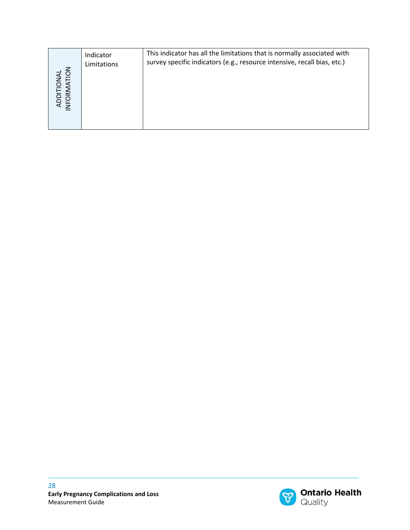| ADDITIONAL<br>INFORMATION | Indicator<br>Limitations                      | This indicator has all the limitations that is normally associated with<br>survey specific indicators (e.g., resource intensive, recall bias, etc.) |                                                   |
|---------------------------|-----------------------------------------------|-----------------------------------------------------------------------------------------------------------------------------------------------------|---------------------------------------------------|
|                           |                                               |                                                                                                                                                     |                                                   |
|                           |                                               |                                                                                                                                                     |                                                   |
|                           |                                               |                                                                                                                                                     |                                                   |
|                           |                                               |                                                                                                                                                     |                                                   |
| 28<br>Measurement Guide   | <b>Early Pregnancy Complications and Loss</b> |                                                                                                                                                     | <b>Ontario Health</b><br>$\mathcal{B}$<br>Quality |

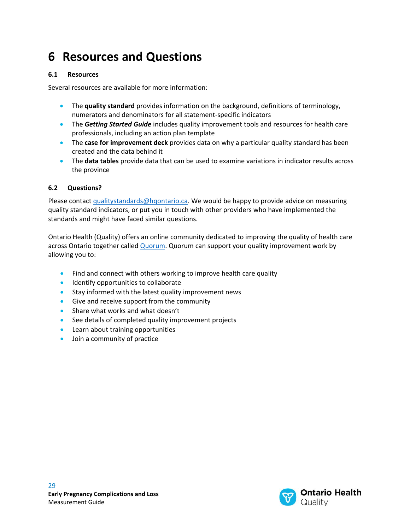### <span id="page-28-0"></span>**6 Resources and Questions**

#### <span id="page-28-1"></span>**6.1 Resources**

Several resources are available for more information:

- The **quality standard** provides information on the background, definitions of terminology, numerators and denominators for all statement-specific indicators
- The **Getting Started Guide** includes quality improvement tools and resources for health care professionals, including an action plan template
- The **case for improvement deck** provides data on why a particular quality standard has been created and the data behind it
- The **data tables** provide data that can be used to examine variations in indicator results across the province

#### <span id="page-28-2"></span>**6.2 Questions?**

Please contact [qualitystandards@hqontario.ca.](mailto:qualitystandards@hqontario.ca) We would be happy to provide advice on measuring quality standard indicators, or put you in touch with other providers who have implemented the standards and might have faced similar questions.

Ontario Health (Quality) offers an online community dedicated to improving the quality of health care across Ontario together called **Quorum**. Quorum can support your quality improvement work by allowing you to:

- Find and connect with others working to improve health care quality
- Identify opportunities to collaborate
- Stay informed with the latest quality improvement news
- Give and receive support from the community
- Share what works and what doesn't
- See details of completed quality improvement projects
- Learn about training opportunities
- Join a community of practice

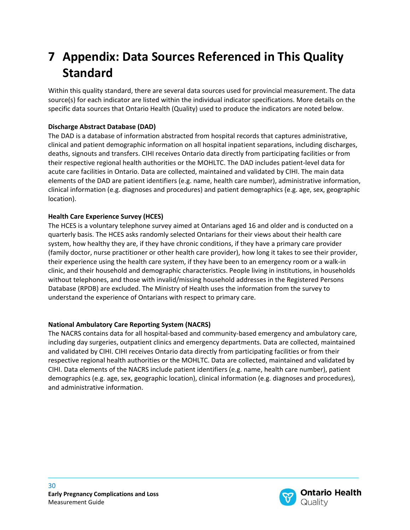## <span id="page-29-0"></span>**7 Appendix: Data Sources Referenced in This Quality Standard**

Within this quality standard, there are several data sources used for provincial measurement. The data source(s) for each indicator are listed within the individual indicator specifications. More details on the specific data sources that Ontario Health (Quality) used to produce the indicators are noted below.

#### **Discharge Abstract Database (DAD)**

The DAD is a database of information abstracted from hospital records that captures administrative, clinical and patient demographic information on all hospital inpatient separations, including discharges, deaths, signouts and transfers. CIHI receives Ontario data directly from participating facilities or from their respective regional health authorities or the MOHLTC. The DAD includes patient-level data for acute care facilities in Ontario. Data are collected, maintained and validated by CIHI. The main data elements of the DAD are patient identifiers (e.g. name, health care number), administrative information, clinical information (e.g. diagnoses and procedures) and patient demographics (e.g. age, sex, geographic location).

#### **Health Care Experience Survey (HCES)**

The HCES is a voluntary telephone survey aimed at Ontarians aged 16 and older and is conducted on a quarterly basis. The HCES asks randomly selected Ontarians for their views about their health care system, how healthy they are, if they have chronic conditions, if they have a primary care provider (family doctor, nurse practitioner or other health care provider), how long it takes to see their provider, their experience using the health care system, if they have been to an emergency room or a walk-in clinic, and their household and demographic characteristics. People living in institutions, in households without telephones, and those with invalid/missing household addresses in the Registered Persons Database (RPDB) are excluded. The Ministry of Health uses the information from the survey to understand the experience of Ontarians with respect to primary care.

#### **National Ambulatory Care Reporting System (NACRS)**

The NACRS contains data for all hospital-based and community-based emergency and ambulatory care, including day surgeries, outpatient clinics and emergency departments. Data are collected, maintained and validated by CIHI. CIHI receives Ontario data directly from participating facilities or from their respective regional health authorities or the MOHLTC. Data are collected, maintained and validated by CIHI. Data elements of the NACRS include patient identifiers (e.g. name, health care number), patient demographics (e.g. age, sex, geographic location), clinical information (e.g. diagnoses and procedures), and administrative information.